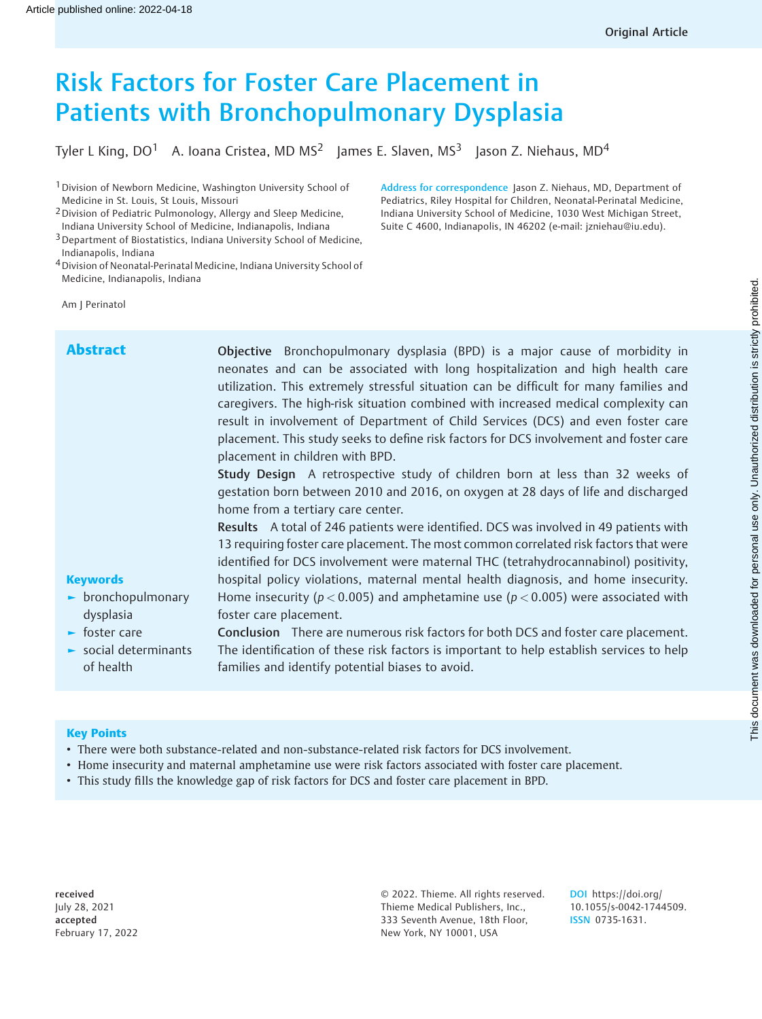# Risk Factors for Foster Care Placement in Patients with Bronchopulmonary Dysplasia

Tyler L King,  $DO<sup>1</sup>$  A. Ioana Cristea, MD MS<sup>2</sup> James E. Slaven, MS<sup>3</sup> Jason Z. Niehaus, MD<sup>4</sup>

<sup>1</sup> Division of Newborn Medicine, Washington University School of Medicine in St. Louis, St Louis, Missouri

2Division of Pediatric Pulmonology, Allergy and Sleep Medicine, Indiana University School of Medicine, Indianapolis, Indiana

3Department of Biostatistics, Indiana University School of Medicine, Indianapolis, Indiana

4Division of Neonatal-Perinatal Medicine, Indiana University School of Medicine, Indianapolis, Indiana

Am J Perinatol

**Keywords** ► bronchopulmonary dysplasia ► foster care ► social determinants of health Abstract **Objective** Bronchopulmonary dysplasia (BPD) is a major cause of morbidity in neonates and can be associated with long hospitalization and high health care utilization. This extremely stressful situation can be difficult for many families and caregivers. The high-risk situation combined with increased medical complexity can result in involvement of Department of Child Services (DCS) and even foster care placement. This study seeks to define risk factors for DCS involvement and foster care placement in children with BPD. Study Design A retrospective study of children born at less than 32 weeks of gestation born between 2010 and 2016, on oxygen at 28 days of life and discharged home from a tertiary care center. Results A total of 246 patients were identified. DCS was involved in 49 patients with 13 requiring foster care placement. The most common correlated risk factors that were identified for DCS involvement were maternal THC (tetrahydrocannabinol) positivity, hospital policy violations, maternal mental health diagnosis, and home insecurity. Home insecurity ( $p < 0.005$ ) and amphetamine use ( $p < 0.005$ ) were associated with foster care placement. Conclusion There are numerous risk factors for both DCS and foster care placement. The identification of these risk factors is important to help establish services to help families and identify potential biases to avoid.

#### Key Points

- There were both substance-related and non-substance-related risk factors for DCS involvement.
- Home insecurity and maternal amphetamine use were risk factors associated with foster care placement.
- This study fills the knowledge gap of risk factors for DCS and foster care placement in BPD.

received July 28, 2021 accepted February 17, 2022 © 2022. Thieme. All rights reserved. Thieme Medical Publishers, Inc., 333 Seventh Avenue, 18th Floor, New York, NY 10001, USA

DOI [https://doi.org/](https://doi.org/10.1055/s-0042-1744509) [10.1055/s-0042-1744509](https://doi.org/10.1055/s-0042-1744509). ISSN 0735-1631.

Address for correspondence Jason Z. Niehaus, MD, Department of Pediatrics, Riley Hospital for Children, Neonatal-Perinatal Medicine, Indiana University School of Medicine, 1030 West Michigan Street, Suite C 4600, Indianapolis, IN 46202 (e-mail: [jzniehau@iu.edu\)](mailto:jzniehau@iu.edu).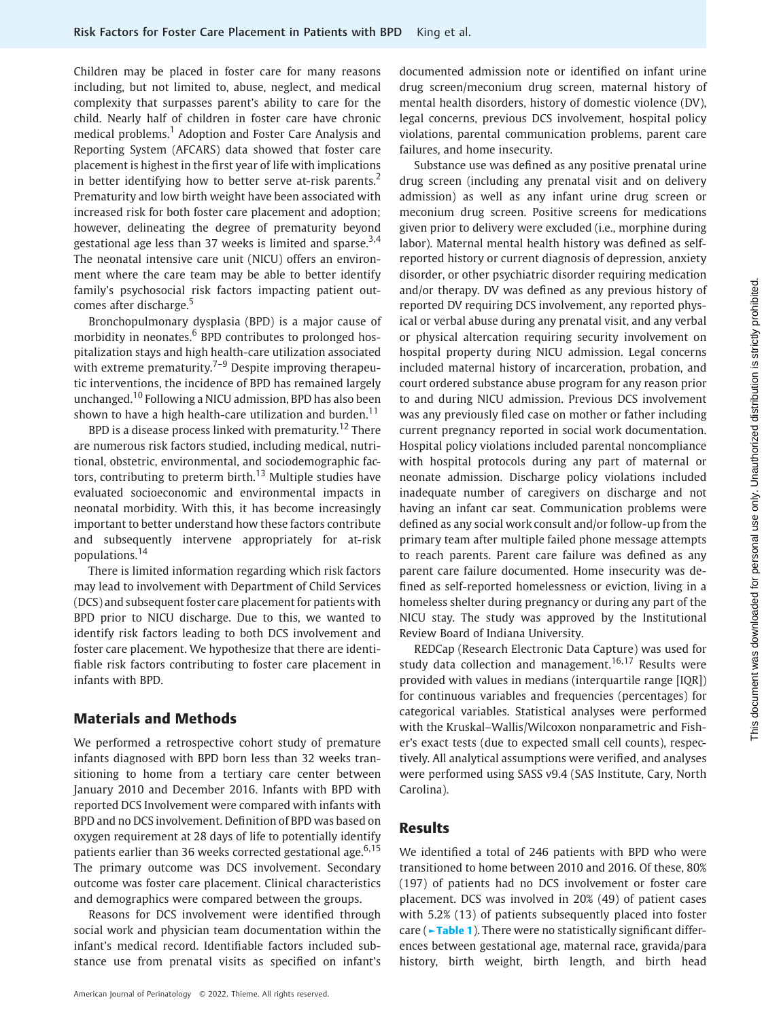Children may be placed in foster care for many reasons including, but not limited to, abuse, neglect, and medical complexity that surpasses parent's ability to care for the child. Nearly half of children in foster care have chronic medical problems.<sup>1</sup> Adoption and Foster Care Analysis and Reporting System (AFCARS) data showed that foster care placement is highest in the first year of life with implications in better identifying how to better serve at-risk parents.<sup>2</sup> Prematurity and low birth weight have been associated with increased risk for both foster care placement and adoption; however, delineating the degree of prematurity beyond gestational age less than 37 weeks is limited and sparse.<sup>3,4</sup> The neonatal intensive care unit (NICU) offers an environment where the care team may be able to better identify family's psychosocial risk factors impacting patient outcomes after discharge.<sup>5</sup>

Bronchopulmonary dysplasia (BPD) is a major cause of morbidity in neonates. $6$  BPD contributes to prolonged hospitalization stays and high health-care utilization associated with extreme prematurity.<sup> $7-9$ </sup> Despite improving therapeutic interventions, the incidence of BPD has remained largely unchanged.<sup>10</sup> Following a NICU admission, BPD has also been shown to have a high health-care utilization and burden.<sup>11</sup>

BPD is a disease process linked with prematurity.<sup>12</sup> There are numerous risk factors studied, including medical, nutritional, obstetric, environmental, and sociodemographic factors, contributing to preterm birth.<sup>13</sup> Multiple studies have evaluated socioeconomic and environmental impacts in neonatal morbidity. With this, it has become increasingly important to better understand how these factors contribute and subsequently intervene appropriately for at-risk populations.<sup>14</sup>

There is limited information regarding which risk factors may lead to involvement with Department of Child Services (DCS) and subsequent foster care placement for patients with BPD prior to NICU discharge. Due to this, we wanted to identify risk factors leading to both DCS involvement and foster care placement. We hypothesize that there are identifiable risk factors contributing to foster care placement in infants with BPD.

## Materials and Methods

We performed a retrospective cohort study of premature infants diagnosed with BPD born less than 32 weeks transitioning to home from a tertiary care center between January 2010 and December 2016. Infants with BPD with reported DCS Involvement were compared with infants with BPD and no DCS involvement. Definition of BPD was based on oxygen requirement at 28 days of life to potentially identify patients earlier than 36 weeks corrected gestational age.  $6,15$ The primary outcome was DCS involvement. Secondary outcome was foster care placement. Clinical characteristics and demographics were compared between the groups.

Reasons for DCS involvement were identified through social work and physician team documentation within the infant's medical record. Identifiable factors included substance use from prenatal visits as specified on infant's

American Journal of Perinatology © 2022. Thieme. All rights reserved.

documented admission note or identified on infant urine drug screen/meconium drug screen, maternal history of mental health disorders, history of domestic violence (DV), legal concerns, previous DCS involvement, hospital policy violations, parental communication problems, parent care failures, and home insecurity.

Substance use was defined as any positive prenatal urine drug screen (including any prenatal visit and on delivery admission) as well as any infant urine drug screen or meconium drug screen. Positive screens for medications given prior to delivery were excluded (i.e., morphine during labor). Maternal mental health history was defined as selfreported history or current diagnosis of depression, anxiety disorder, or other psychiatric disorder requiring medication and/or therapy. DV was defined as any previous history of reported DV requiring DCS involvement, any reported physical or verbal abuse during any prenatal visit, and any verbal or physical altercation requiring security involvement on hospital property during NICU admission. Legal concerns included maternal history of incarceration, probation, and court ordered substance abuse program for any reason prior to and during NICU admission. Previous DCS involvement was any previously filed case on mother or father including current pregnancy reported in social work documentation. Hospital policy violations included parental noncompliance with hospital protocols during any part of maternal or neonate admission. Discharge policy violations included inadequate number of caregivers on discharge and not having an infant car seat. Communication problems were defined as any social work consult and/or follow-up from the primary team after multiple failed phone message attempts to reach parents. Parent care failure was defined as any parent care failure documented. Home insecurity was defined as self-reported homelessness or eviction, living in a homeless shelter during pregnancy or during any part of the NICU stay. The study was approved by the Institutional Review Board of Indiana University.

REDCap (Research Electronic Data Capture) was used for study data collection and management.<sup>16,17</sup> Results were provided with values in medians (interquartile range [IQR]) for continuous variables and frequencies (percentages) for categorical variables. Statistical analyses were performed with the Kruskal–Wallis/Wilcoxon nonparametric and Fisher's exact tests (due to expected small cell counts), respectively. All analytical assumptions were verified, and analyses were performed using SASS v9.4 (SAS Institute, Cary, North Carolina).

#### Results

We identified a total of 246 patients with BPD who were transitioned to home between 2010 and 2016. Of these, 80% (197) of patients had no DCS involvement or foster care placement. DCS was involved in 20% (49) of patient cases with 5.2% (13) of patients subsequently placed into foster care (►Table 1). There were no statistically significant differences between gestational age, maternal race, gravida/para history, birth weight, birth length, and birth head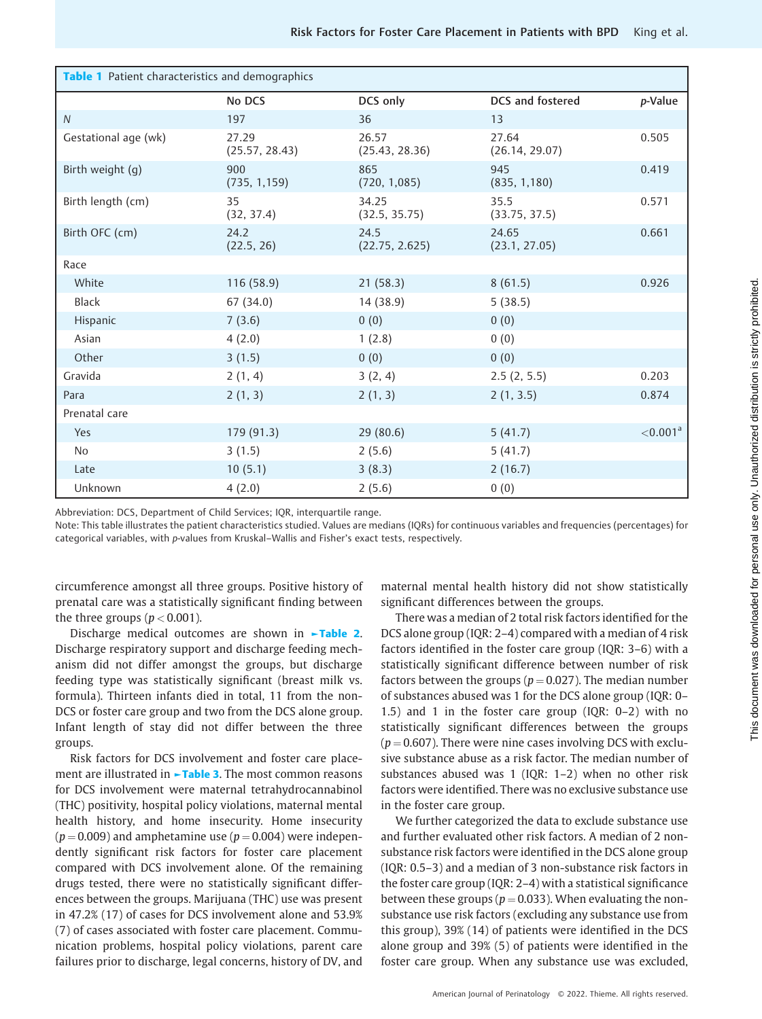| Table 1 Patient characteristics and demographics |                         |                         |                         |                        |  |  |  |  |
|--------------------------------------------------|-------------------------|-------------------------|-------------------------|------------------------|--|--|--|--|
|                                                  | No DCS                  | DCS only                | <b>DCS</b> and fostered | p-Value                |  |  |  |  |
| $\mathcal N$                                     | 197                     | 36                      | 13                      |                        |  |  |  |  |
| Gestational age (wk)                             | 27.29<br>(25.57, 28.43) | 26.57<br>(25.43, 28.36) | 27.64<br>(26.14, 29.07) | 0.505                  |  |  |  |  |
| Birth weight (g)                                 | 900<br>(735, 1, 159)    | 865<br>(720, 1,085)     | 945<br>(835, 1, 180)    | 0.419                  |  |  |  |  |
| Birth length (cm)                                | 35<br>(32, 37.4)        | 34.25<br>(32.5, 35.75)  | 35.5<br>(33.75, 37.5)   | 0.571                  |  |  |  |  |
| Birth OFC (cm)                                   | 24.2<br>(22.5, 26)      | 24.5<br>(22.75, 2.625)  | 24.65<br>(23.1, 27.05)  | 0.661                  |  |  |  |  |
| Race                                             |                         |                         |                         |                        |  |  |  |  |
| White                                            | 116(58.9)               | 21(58.3)                | 8(61.5)                 | 0.926                  |  |  |  |  |
| Black                                            | 67 (34.0)               | 14 (38.9)               | 5(38.5)                 |                        |  |  |  |  |
| Hispanic                                         | 7(3.6)                  | 0(0)                    | 0(0)                    |                        |  |  |  |  |
| Asian                                            | 4(2.0)                  | 1(2.8)                  | 0(0)                    |                        |  |  |  |  |
| Other                                            | 3(1.5)                  | 0(0)                    | 0(0)                    |                        |  |  |  |  |
| Gravida                                          | 2(1, 4)                 | 3(2, 4)                 | 2.5(2, 5.5)             | 0.203                  |  |  |  |  |
| Para                                             | 2(1, 3)                 | 2(1, 3)                 | 2(1, 3.5)               | 0.874                  |  |  |  |  |
| Prenatal care                                    |                         |                         |                         |                        |  |  |  |  |
| Yes                                              | 179 (91.3)              | 29(80.6)                | 5(41.7)                 | $< 0.001$ <sup>a</sup> |  |  |  |  |
| <b>No</b>                                        | 3(1.5)                  | 2(5.6)                  | 5(41.7)                 |                        |  |  |  |  |
| Late                                             | 10(5.1)                 | 3(8.3)                  | 2(16.7)                 |                        |  |  |  |  |
| Unknown                                          | 4(2.0)                  | 2(5.6)                  | 0(0)                    |                        |  |  |  |  |

Abbreviation: DCS, Department of Child Services; IQR, interquartile range.

Note: This table illustrates the patient characteristics studied. Values are medians (IQRs) for continuous variables and frequencies (percentages) for categorical variables, with p-values from Kruskal–Wallis and Fisher's exact tests, respectively.

circumference amongst all three groups. Positive history of prenatal care was a statistically significant finding between the three groups ( $p < 0.001$ ).

Discharge medical outcomes are shown in ►Table 2. Discharge respiratory support and discharge feeding mechanism did not differ amongst the groups, but discharge feeding type was statistically significant (breast milk vs. formula). Thirteen infants died in total, 11 from the non-DCS or foster care group and two from the DCS alone group. Infant length of stay did not differ between the three groups.

Risk factors for DCS involvement and foster care placement are illustrated in **-Table 3.** The most common reasons for DCS involvement were maternal tetrahydrocannabinol (THC) positivity, hospital policy violations, maternal mental health history, and home insecurity. Home insecurity  $(p = 0.009)$  and amphetamine use  $(p = 0.004)$  were independently significant risk factors for foster care placement compared with DCS involvement alone. Of the remaining drugs tested, there were no statistically significant differences between the groups. Marijuana (THC) use was present in 47.2% (17) of cases for DCS involvement alone and 53.9% (7) of cases associated with foster care placement. Communication problems, hospital policy violations, parent care failures prior to discharge, legal concerns, history of DV, and maternal mental health history did not show statistically significant differences between the groups.

There was a median of 2 total risk factors identified for the DCS alone group (IQR: 2–4) compared with a median of 4 risk factors identified in the foster care group (IQR: 3–6) with a statistically significant difference between number of risk factors between the groups ( $p = 0.027$ ). The median number of substances abused was 1 for the DCS alone group (IQR: 0– 1.5) and 1 in the foster care group (IQR: 0–2) with no statistically significant differences between the groups  $(p = 0.607)$ . There were nine cases involving DCS with exclusive substance abuse as a risk factor. The median number of substances abused was 1 (IQR: 1–2) when no other risk factors were identified. There was no exclusive substance use in the foster care group.

We further categorized the data to exclude substance use and further evaluated other risk factors. A median of 2 nonsubstance risk factors were identified in the DCS alone group (IQR: 0.5–3) and a median of 3 non-substance risk factors in the foster care group (IQR: 2–4) with a statistical significance between these groups ( $p = 0.033$ ). When evaluating the nonsubstance use risk factors (excluding any substance use from this group), 39% (14) of patients were identified in the DCS alone group and 39% (5) of patients were identified in the foster care group. When any substance use was excluded,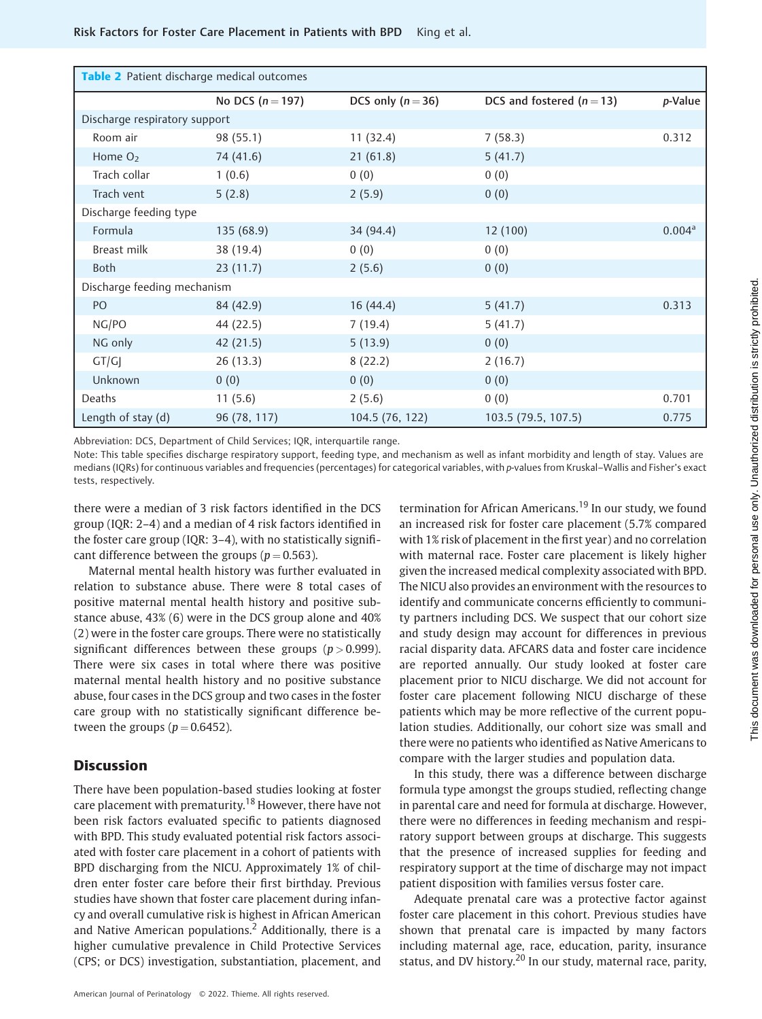| Table 2 Patient discharge medical outcomes |                    |                   |                           |                    |  |  |  |
|--------------------------------------------|--------------------|-------------------|---------------------------|--------------------|--|--|--|
|                                            | No DCS $(n = 197)$ | DCS only $(n=36)$ | DCS and fostered $(n=13)$ | p-Value            |  |  |  |
| Discharge respiratory support              |                    |                   |                           |                    |  |  |  |
| Room air                                   | 98 (55.1)          | 11(32.4)          | 7(58.3)                   | 0.312              |  |  |  |
| Home $O2$                                  | 74 (41.6)          | 21(61.8)          | 5(41.7)                   |                    |  |  |  |
| Trach collar                               | 1(0.6)             | 0(0)              | 0(0)                      |                    |  |  |  |
| Trach vent                                 | 5(2.8)             | 2(5.9)            | 0(0)                      |                    |  |  |  |
| Discharge feeding type                     |                    |                   |                           |                    |  |  |  |
| Formula                                    | 135 (68.9)         | 34 (94.4)         | 12(100)                   | 0.004 <sup>a</sup> |  |  |  |
| Breast milk                                | 38 (19.4)          | 0(0)              | 0(0)                      |                    |  |  |  |
| <b>Both</b>                                | 23(11.7)           | 2(5.6)            | 0(0)                      |                    |  |  |  |
| Discharge feeding mechanism                |                    |                   |                           |                    |  |  |  |
| PO                                         | 84 (42.9)          | 16(44.4)          | 5(41.7)                   | 0.313              |  |  |  |
| NG/PO                                      | 44 (22.5)          | 7(19.4)           | 5(41.7)                   |                    |  |  |  |
| NG only                                    | 42 (21.5)          | 5(13.9)           | 0(0)                      |                    |  |  |  |
| GT/G                                       | 26(13.3)           | 8(22.2)           | 2(16.7)                   |                    |  |  |  |
| Unknown                                    | 0(0)               | 0(0)              | 0(0)                      |                    |  |  |  |
| Deaths                                     | 11(5.6)            | 2(5.6)            | 0(0)                      | 0.701              |  |  |  |
| Length of stay (d)                         | 96 (78, 117)       | 104.5 (76, 122)   | 103.5 (79.5, 107.5)       | 0.775              |  |  |  |

Abbreviation: DCS, Department of Child Services; IQR, interquartile range.

Note: This table specifies discharge respiratory support, feeding type, and mechanism as well as infant morbidity and length of stay. Values are medians (IQRs) for continuous variables and frequencies (percentages) for categorical variables, with p-values from Kruskal–Wallis and Fisher's exact tests, respectively.

there were a median of 3 risk factors identified in the DCS group (IQR: 2–4) and a median of 4 risk factors identified in the foster care group (IQR: 3–4), with no statistically significant difference between the groups ( $p = 0.563$ ).

Maternal mental health history was further evaluated in relation to substance abuse. There were 8 total cases of positive maternal mental health history and positive substance abuse, 43% (6) were in the DCS group alone and 40% (2) were in the foster care groups. There were no statistically significant differences between these groups ( $p > 0.999$ ). There were six cases in total where there was positive maternal mental health history and no positive substance abuse, four cases in the DCS group and two cases in the foster care group with no statistically significant difference between the groups ( $p = 0.6452$ ).

### **Discussion**

There have been population-based studies looking at foster care placement with prematurity.<sup>18</sup> However, there have not been risk factors evaluated specific to patients diagnosed with BPD. This study evaluated potential risk factors associated with foster care placement in a cohort of patients with BPD discharging from the NICU. Approximately 1% of children enter foster care before their first birthday. Previous studies have shown that foster care placement during infancy and overall cumulative risk is highest in African American and Native American populations.<sup>2</sup> Additionally, there is a higher cumulative prevalence in Child Protective Services (CPS; or DCS) investigation, substantiation, placement, and

termination for African Americans.<sup>19</sup> In our study, we found an increased risk for foster care placement (5.7% compared with 1% risk of placement in the first year) and no correlation with maternal race. Foster care placement is likely higher given the increased medical complexity associated with BPD. The NICU also provides an environment with the resources to identify and communicate concerns efficiently to community partners including DCS. We suspect that our cohort size and study design may account for differences in previous racial disparity data. AFCARS data and foster care incidence are reported annually. Our study looked at foster care placement prior to NICU discharge. We did not account for foster care placement following NICU discharge of these patients which may be more reflective of the current population studies. Additionally, our cohort size was small and there were no patients who identified as Native Americans to compare with the larger studies and population data.

In this study, there was a difference between discharge formula type amongst the groups studied, reflecting change in parental care and need for formula at discharge. However, there were no differences in feeding mechanism and respiratory support between groups at discharge. This suggests that the presence of increased supplies for feeding and respiratory support at the time of discharge may not impact patient disposition with families versus foster care.

Adequate prenatal care was a protective factor against foster care placement in this cohort. Previous studies have shown that prenatal care is impacted by many factors including maternal age, race, education, parity, insurance status, and DV history.<sup>20</sup> In our study, maternal race, parity,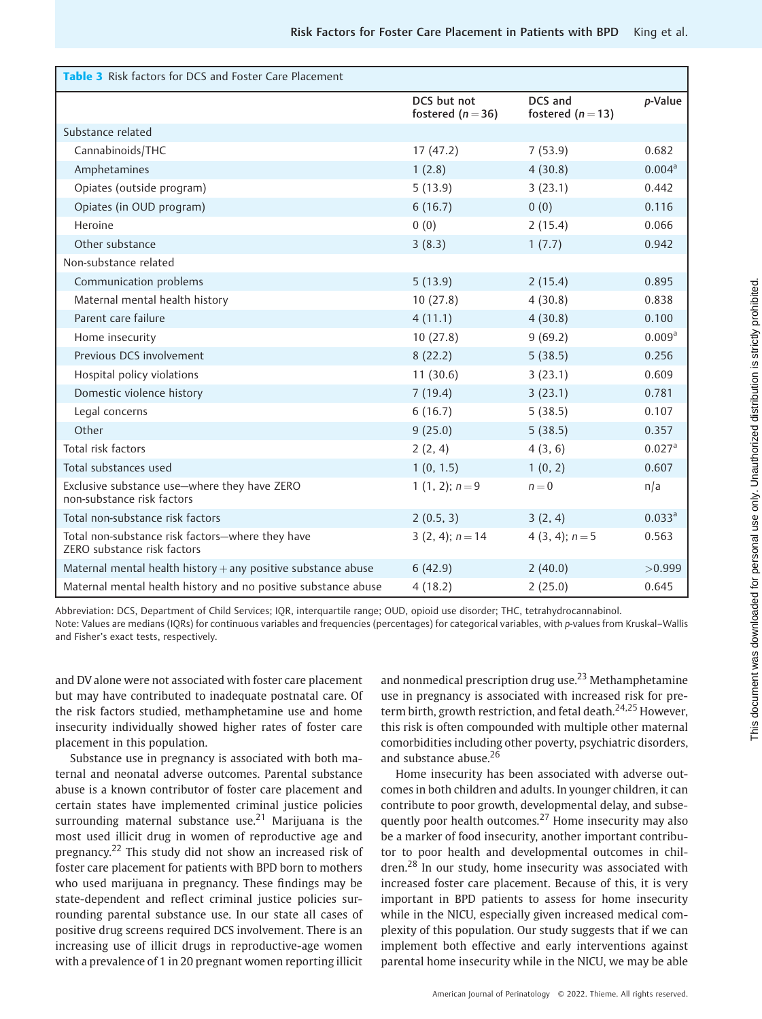| <b>Table 3</b> Risk factors for DCS and Foster Care Placement                   |                                  |                              |                      |
|---------------------------------------------------------------------------------|----------------------------------|------------------------------|----------------------|
|                                                                                 | DCS but not<br>fostered $(n=36)$ | DCS and<br>fostered $(n=13)$ | p-Value              |
| Substance related                                                               |                                  |                              |                      |
| Cannabinoids/THC                                                                | 17(47.2)                         | 7(53.9)                      | 0.682                |
| Amphetamines                                                                    | 1(2.8)                           | 4(30.8)                      | 0.004 <sup>a</sup>   |
| Opiates (outside program)                                                       | 5(13.9)                          | 3(23.1)                      | 0.442                |
| Opiates (in OUD program)                                                        | 6(16.7)                          | 0(0)                         | 0.116                |
| Heroine                                                                         | 0(0)                             | 2(15.4)                      | 0.066                |
| Other substance                                                                 | 3(8.3)                           | 1(7.7)                       | 0.942                |
| Non-substance related                                                           |                                  |                              |                      |
| Communication problems                                                          | 5(13.9)                          | 2(15.4)                      | 0.895                |
| Maternal mental health history                                                  | 10(27.8)                         | 4(30.8)                      | 0.838                |
| Parent care failure                                                             | 4(11.1)                          | 4(30.8)                      | 0.100                |
| Home insecurity                                                                 | 10(27.8)                         | 9(69.2)                      | 0.009 <sup>a</sup>   |
| Previous DCS involvement                                                        | 8(22.2)                          | 5(38.5)                      | 0.256                |
| Hospital policy violations                                                      | 11(30.6)                         | 3(23.1)                      | 0.609                |
| Domestic violence history                                                       | 7(19.4)                          | 3(23.1)                      | 0.781                |
| Legal concerns                                                                  | 6(16.7)                          | 5(38.5)                      | 0.107                |
| Other                                                                           | 9(25.0)                          | 5(38.5)                      | 0.357                |
| Total risk factors                                                              | 2(2, 4)                          | 4(3, 6)                      | $0.027$ <sup>a</sup> |
| Total substances used                                                           | 1(0, 1.5)                        | 1(0, 2)                      | 0.607                |
| Exclusive substance use-where they have ZERO<br>non-substance risk factors      | 1 $(1, 2)$ ; $n = 9$             | $n = 0$                      | n/a                  |
| Total non-substance risk factors                                                | 2(0.5, 3)                        | 3(2, 4)                      | 0.033 <sup>a</sup>   |
| Total non-substance risk factors-where they have<br>ZERO substance risk factors | $3(2, 4); n = 14$                | 4 (3, 4); $n = 5$            | 0.563                |
| Maternal mental health history $+$ any positive substance abuse                 | 6(42.9)                          | 2(40.0)                      | >0.999               |
| Maternal mental health history and no positive substance abuse                  | 4(18.2)                          | 2(25.0)                      | 0.645                |

Abbreviation: DCS, Department of Child Services; IQR, interquartile range; OUD, opioid use disorder; THC, tetrahydrocannabinol. Note: Values are medians (IQRs) for continuous variables and frequencies (percentages) for categorical variables, with p-values from Kruskal–Wallis and Fisher's exact tests, respectively.

and DV alone were not associated with foster care placement but may have contributed to inadequate postnatal care. Of the risk factors studied, methamphetamine use and home insecurity individually showed higher rates of foster care placement in this population.

Substance use in pregnancy is associated with both maternal and neonatal adverse outcomes. Parental substance abuse is a known contributor of foster care placement and certain states have implemented criminal justice policies surrounding maternal substance use.<sup>21</sup> Marijuana is the most used illicit drug in women of reproductive age and pregnancy.<sup>22</sup> This study did not show an increased risk of foster care placement for patients with BPD born to mothers who used marijuana in pregnancy. These findings may be state-dependent and reflect criminal justice policies surrounding parental substance use. In our state all cases of positive drug screens required DCS involvement. There is an increasing use of illicit drugs in reproductive-age women with a prevalence of 1 in 20 pregnant women reporting illicit and nonmedical prescription drug use.<sup>23</sup> Methamphetamine use in pregnancy is associated with increased risk for preterm birth, growth restriction, and fetal death.<sup>24,25</sup> However, this risk is often compounded with multiple other maternal comorbidities including other poverty, psychiatric disorders, and substance abuse.<sup>26</sup>

Home insecurity has been associated with adverse outcomes in both children and adults. In younger children, it can contribute to poor growth, developmental delay, and subsequently poor health outcomes.<sup>27</sup> Home insecurity may also be a marker of food insecurity, another important contributor to poor health and developmental outcomes in children.<sup>28</sup> In our study, home insecurity was associated with increased foster care placement. Because of this, it is very important in BPD patients to assess for home insecurity while in the NICU, especially given increased medical complexity of this population. Our study suggests that if we can implement both effective and early interventions against parental home insecurity while in the NICU, we may be able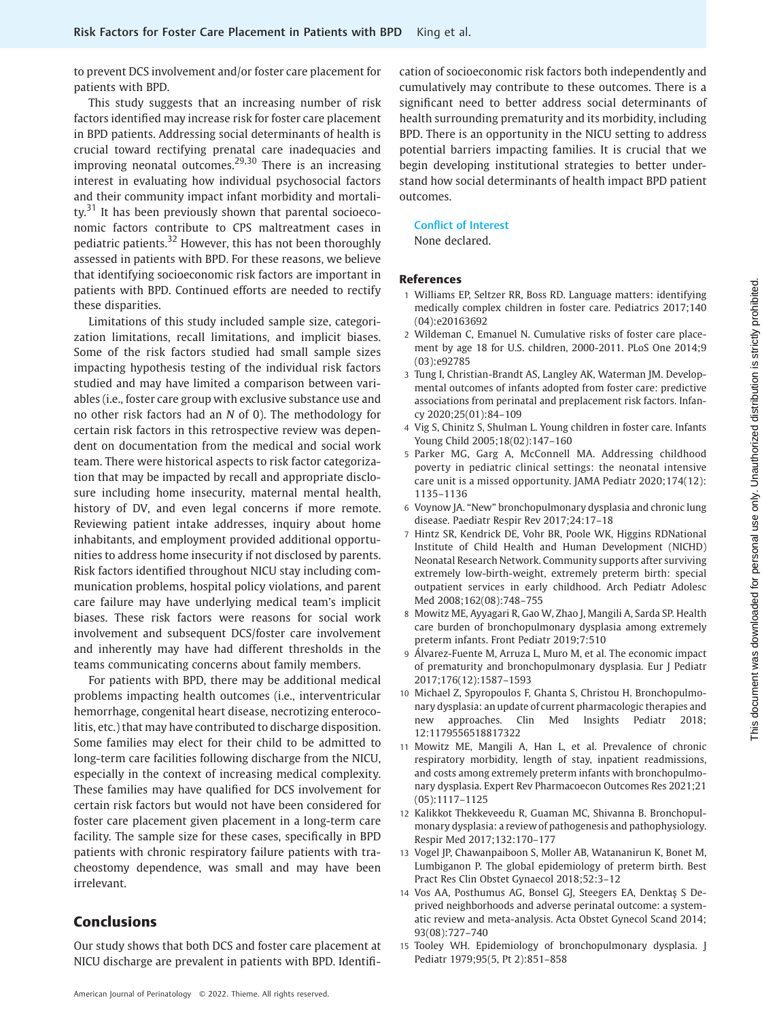to prevent DCS involvement and/or foster care placement for patients with BPD.

This study suggests that an increasing number of risk factors identified may increase risk for foster care placement in BPD patients. Addressing social determinants of health is crucial toward rectifying prenatal care inadequacies and improving neonatal outcomes.<sup>29,30</sup> There is an increasing interest in evaluating how individual psychosocial factors and their community impact infant morbidity and mortality. $31$  It has been previously shown that parental socioeconomic factors contribute to CPS maltreatment cases in pediatric patients.<sup>32</sup> However, this has not been thoroughly assessed in patients with BPD. For these reasons, we believe that identifying socioeconomic risk factors are important in patients with BPD. Continued efforts are needed to rectify these disparities.

Limitations of this study included sample size, categorization limitations, recall limitations, and implicit biases. Some of the risk factors studied had small sample sizes impacting hypothesis testing of the individual risk factors studied and may have limited a comparison between variables (i.e., foster care group with exclusive substance use and no other risk factors had an N of 0). The methodology for certain risk factors in this retrospective review was dependent on documentation from the medical and social work team. There were historical aspects to risk factor categorization that may be impacted by recall and appropriate disclosure including home insecurity, maternal mental health, history of DV, and even legal concerns if more remote. Reviewing patient intake addresses, inquiry about home inhabitants, and employment provided additional opportunities to address home insecurity if not disclosed by parents. Risk factors identified throughout NICU stay including communication problems, hospital policy violations, and parent care failure may have underlying medical team's implicit biases. These risk factors were reasons for social work involvement and subsequent DCS/foster care involvement and inherently may have had different thresholds in the teams communicating concerns about family members.

For patients with BPD, there may be additional medical problems impacting health outcomes (i.e., interventricular hemorrhage, congenital heart disease, necrotizing enterocolitis, etc.) that may have contributed to discharge disposition. Some families may elect for their child to be admitted to long-term care facilities following discharge from the NICU, especially in the context of increasing medical complexity. These families may have qualified for DCS involvement for certain risk factors but would not have been considered for foster care placement given placement in a long-term care facility. The sample size for these cases, specifically in BPD patients with chronic respiratory failure patients with tracheostomy dependence, was small and may have been irrelevant.

# Conclusions

Our study shows that both DCS and foster care placement at NICU discharge are prevalent in patients with BPD. Identification of socioeconomic risk factors both independently and cumulatively may contribute to these outcomes. There is a significant need to better address social determinants of health surrounding prematurity and its morbidity, including BPD. There is an opportunity in the NICU setting to address potential barriers impacting families. It is crucial that we begin developing institutional strategies to better understand how social determinants of health impact BPD patient outcomes.

### Conflict of Interest

None declared.

#### References

- 1 Williams EP, Seltzer RR, Boss RD. Language matters: identifying medically complex children in foster care. Pediatrics 2017;140 (04):e20163692
- 2 Wildeman C, Emanuel N. Cumulative risks of foster care placement by age 18 for U.S. children, 2000-2011. PLoS One 2014;9 (03):e92785
- 3 Tung I, Christian-Brandt AS, Langley AK, Waterman JM. Developmental outcomes of infants adopted from foster care: predictive associations from perinatal and preplacement risk factors. Infancy 2020;25(01):84–109
- 4 Vig S, Chinitz S, Shulman L. Young children in foster care. Infants Young Child 2005;18(02):147–160
- 5 Parker MG, Garg A, McConnell MA. Addressing childhood poverty in pediatric clinical settings: the neonatal intensive care unit is a missed opportunity. JAMA Pediatr 2020;174(12): 1135–1136
- 6 Voynow JA. "New" bronchopulmonary dysplasia and chronic lung disease. Paediatr Respir Rev 2017;24:17–18
- 7 Hintz SR, Kendrick DE, Vohr BR, Poole WK, Higgins RDNational Institute of Child Health and Human Development (NICHD) Neonatal Research Network. Community supports after surviving extremely low-birth-weight, extremely preterm birth: special outpatient services in early childhood. Arch Pediatr Adolesc Med 2008;162(08):748–755
- 8 Mowitz ME, Ayyagari R, Gao W, Zhao J, Mangili A, Sarda SP. Health care burden of bronchopulmonary dysplasia among extremely preterm infants. Front Pediatr 2019;7:510
- 9 Álvarez-Fuente M, Arruza L, Muro M, et al. The economic impact of prematurity and bronchopulmonary dysplasia. Eur J Pediatr 2017;176(12):1587–1593
- 10 Michael Z, Spyropoulos F, Ghanta S, Christou H. Bronchopulmonary dysplasia: an update of current pharmacologic therapies and new approaches. Clin Med Insights Pediatr 2018; 12:1179556518817322
- 11 Mowitz ME, Mangili A, Han L, et al. Prevalence of chronic respiratory morbidity, length of stay, inpatient readmissions, and costs among extremely preterm infants with bronchopulmonary dysplasia. Expert Rev Pharmacoecon Outcomes Res 2021;21 (05):1117–1125
- 12 Kalikkot Thekkeveedu R, Guaman MC, Shivanna B. Bronchopulmonary dysplasia: a review of pathogenesis and pathophysiology. Respir Med 2017;132:170–177
- 13 Vogel JP, Chawanpaiboon S, Moller AB, Watananirun K, Bonet M, Lumbiganon P. The global epidemiology of preterm birth. Best Pract Res Clin Obstet Gynaecol 2018;52:3–12
- 14 Vos AA, Posthumus AG, Bonsel GJ, Steegers EA, Denktaş S Deprived neighborhoods and adverse perinatal outcome: a systematic review and meta-analysis. Acta Obstet Gynecol Scand 2014; 93(08):727–740
- 15 Tooley WH. Epidemiology of bronchopulmonary dysplasia. J Pediatr 1979;95(5, Pt 2):851–858